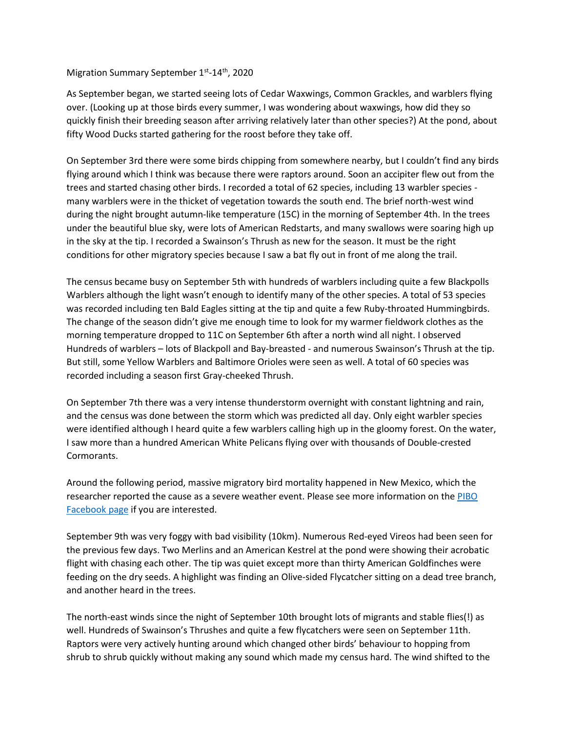## Migration Summary September 1<sup>st</sup>-14<sup>th</sup>, 2020

As September began, we started seeing lots of Cedar Waxwings, Common Grackles, and warblers flying over. (Looking up at those birds every summer, I was wondering about waxwings, how did they so quickly finish their breeding season after arriving relatively later than other species?) At the pond, about fifty Wood Ducks started gathering for the roost before they take off.

On September 3rd there were some birds chipping from somewhere nearby, but I couldn't find any birds flying around which I think was because there were raptors around. Soon an accipiter flew out from the trees and started chasing other birds. I recorded a total of 62 species, including 13 warbler species many warblers were in the thicket of vegetation towards the south end. The brief north-west wind during the night brought autumn-like temperature (15C) in the morning of September 4th. In the trees under the beautiful blue sky, were lots of American Redstarts, and many swallows were soaring high up in the sky at the tip. I recorded a Swainson's Thrush as new for the season. It must be the right conditions for other migratory species because I saw a bat fly out in front of me along the trail.

The census became busy on September 5th with hundreds of warblers including quite a few Blackpolls Warblers although the light wasn't enough to identify many of the other species. A total of 53 species was recorded including ten Bald Eagles sitting at the tip and quite a few Ruby-throated Hummingbirds. The change of the season didn't give me enough time to look for my warmer fieldwork clothes as the morning temperature dropped to 11C on September 6th after a north wind all night. I observed Hundreds of warblers – lots of Blackpoll and Bay-breasted - and numerous Swainson's Thrush at the tip. But still, some Yellow Warblers and Baltimore Orioles were seen as well. A total of 60 species was recorded including a season first Gray-cheeked Thrush.

On September 7th there was a very intense thunderstorm overnight with constant lightning and rain, and the census was done between the storm which was predicted all day. Only eight warbler species were identified although I heard quite a few warblers calling high up in the gloomy forest. On the water, I saw more than a hundred American White Pelicans flying over with thousands of Double-crested Cormorants.

Around the following period, massive migratory bird mortality happened in New Mexico, which the researcher reported the cause as a severe weather event. Please see more information on th[e PIBO](https://www.facebook.com/PeleeIslandBirdObservatory)  [Facebook page](https://www.facebook.com/PeleeIslandBirdObservatory) if you are interested.

September 9th was very foggy with bad visibility (10km). Numerous Red-eyed Vireos had been seen for the previous few days. Two Merlins and an American Kestrel at the pond were showing their acrobatic flight with chasing each other. The tip was quiet except more than thirty American Goldfinches were feeding on the dry seeds. A highlight was finding an Olive-sided Flycatcher sitting on a dead tree branch, and another heard in the trees.

The north-east winds since the night of September 10th brought lots of migrants and stable flies(!) as well. Hundreds of Swainson's Thrushes and quite a few flycatchers were seen on September 11th. Raptors were very actively hunting around which changed other birds' behaviour to hopping from shrub to shrub quickly without making any sound which made my census hard. The wind shifted to the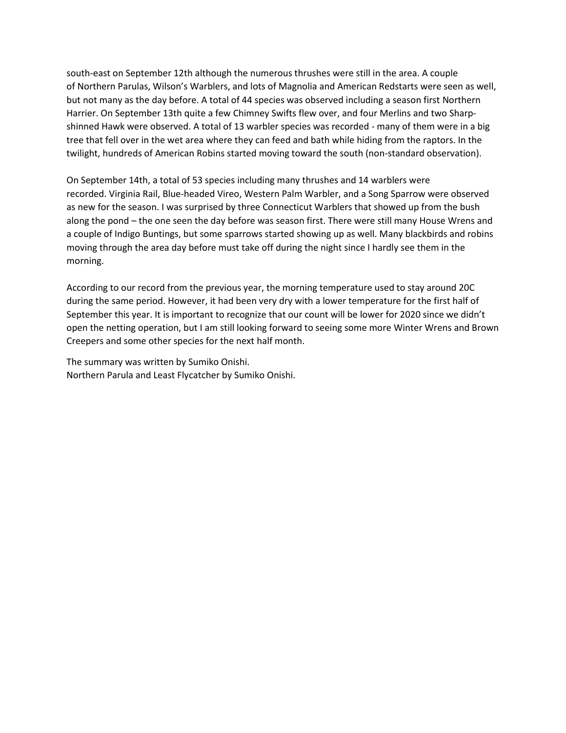south-east on September 12th although the numerous thrushes were still in the area. A couple of Northern Parulas, Wilson's Warblers, and lots of Magnolia and American Redstarts were seen as well, but not many as the day before. A total of 44 species was observed including a season first Northern Harrier. On September 13th quite a few Chimney Swifts flew over, and four Merlins and two Sharpshinned Hawk were observed. A total of 13 warbler species was recorded - many of them were in a big tree that fell over in the wet area where they can feed and bath while hiding from the raptors. In the twilight, hundreds of American Robins started moving toward the south (non-standard observation).

On September 14th, a total of 53 species including many thrushes and 14 warblers were recorded. Virginia Rail, Blue-headed Vireo, Western Palm Warbler, and a Song Sparrow were observed as new for the season. I was surprised by three Connecticut Warblers that showed up from the bush along the pond – the one seen the day before was season first. There were still many House Wrens and a couple of Indigo Buntings, but some sparrows started showing up as well. Many blackbirds and robins moving through the area day before must take off during the night since I hardly see them in the morning.

According to our record from the previous year, the morning temperature used to stay around 20C during the same period. However, it had been very dry with a lower temperature for the first half of September this year. It is important to recognize that our count will be lower for 2020 since we didn't open the netting operation, but I am still looking forward to seeing some more Winter Wrens and Brown Creepers and some other species for the next half month.

The summary was written by Sumiko Onishi. Northern Parula and Least Flycatcher by Sumiko Onishi.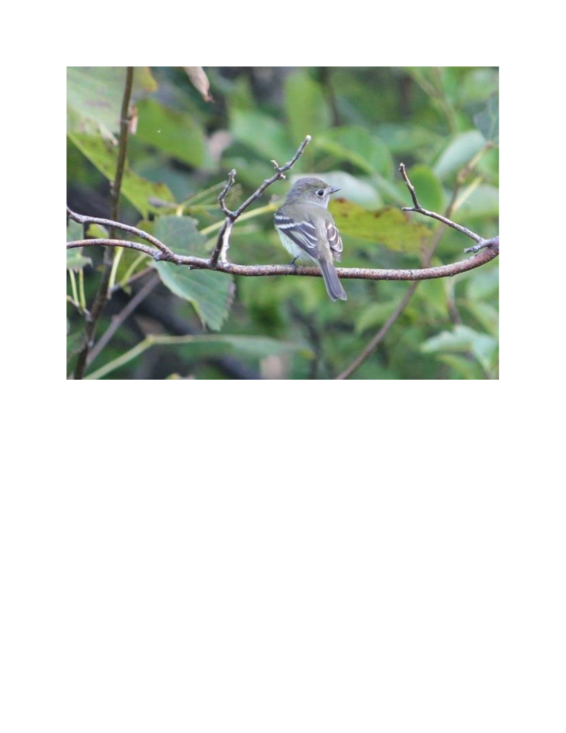